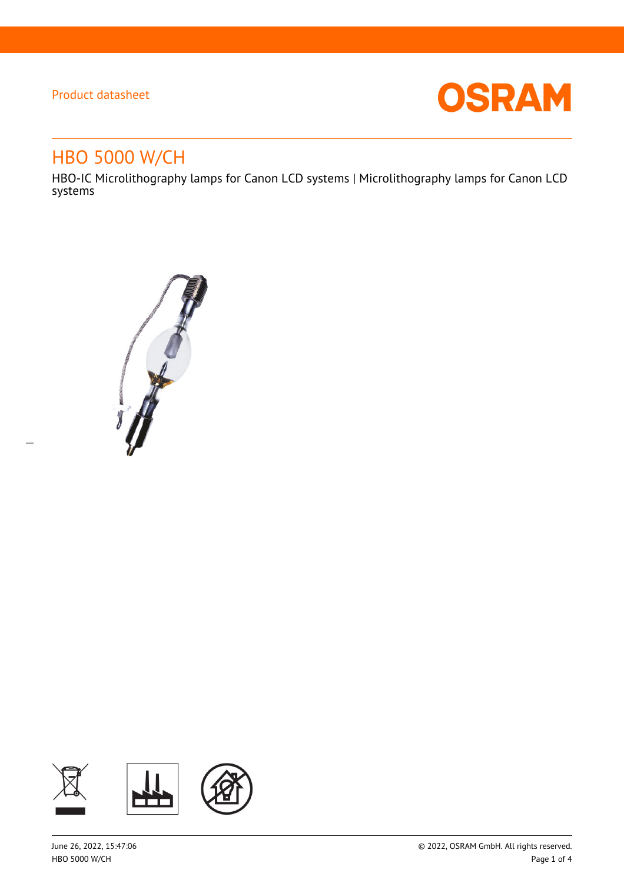$\overline{a}$ 



# HBO 5000 W/CH

HBO-IC Microlithography lamps for Canon LCD systems | Microlithography lamps for Canon LCD systems



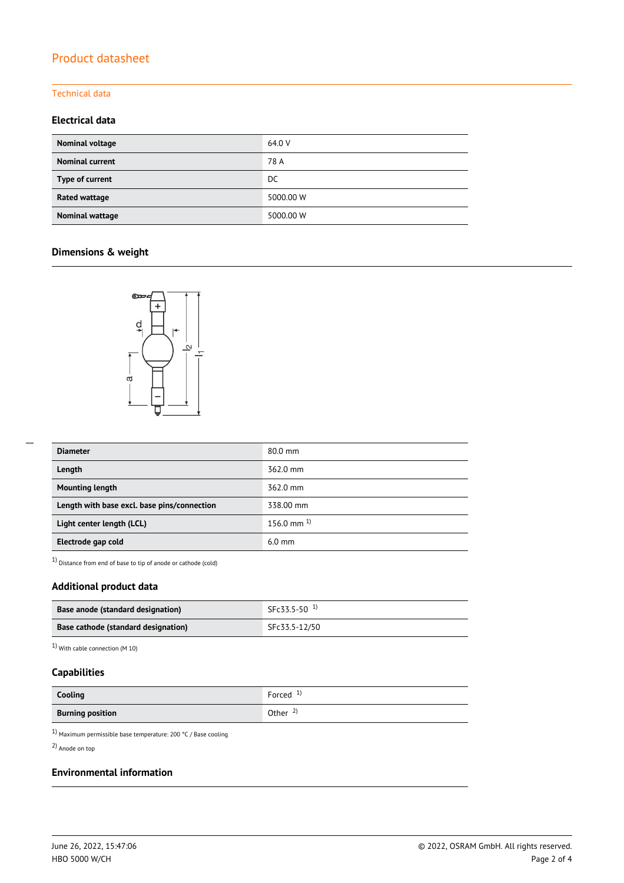#### Technical data

### **Electrical data**

| Nominal voltage        | 64.0 V    |
|------------------------|-----------|
| <b>Nominal current</b> | 78 A      |
| Type of current        | DC        |
| Rated wattage          | 5000.00 W |
| Nominal wattage        | 5000.00 W |

### **Dimensions & weight**



| <b>Diameter</b>                             | 80.0 mm         |
|---------------------------------------------|-----------------|
| Length                                      | 362.0 mm        |
| <b>Mounting length</b>                      | 362.0 mm        |
| Length with base excl. base pins/connection | 338.00 mm       |
| Light center length (LCL)                   | 156.0 mm $^{1}$ |
| Electrode gap cold                          | $6.0$ mm        |

1) Distance from end of base to tip of anode or cathode (cold)

### **Additional product data**

| Base anode (standard designation)   | $SFC33.5-50$ <sup>1)</sup> |
|-------------------------------------|----------------------------|
| Base cathode (standard designation) | SFc33.5-12/50              |

1) With cable connection (M 10)

### **Capabilities**

| Cooling                 | Forced $1$          |
|-------------------------|---------------------|
| <b>Burning position</b> | Other $\frac{2}{3}$ |

 $^{1)}$  Maximum permissible base temperature: 200 °C / Base cooling

2) Anode on top

#### **Environmental information**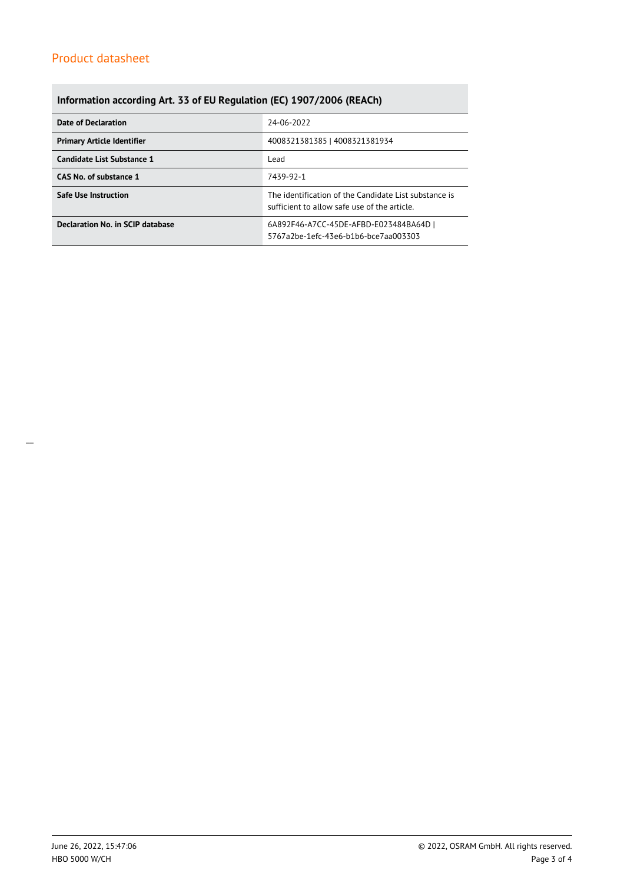## **Information according Art. 33 of EU Regulation (EC) 1907/2006 (REACh)**

| Date of Declaration               | 24-06-2022                                                                                            |  |  |
|-----------------------------------|-------------------------------------------------------------------------------------------------------|--|--|
| <b>Primary Article Identifier</b> | 4008321381385   4008321381934                                                                         |  |  |
| Candidate List Substance 1        | Lead                                                                                                  |  |  |
| CAS No. of substance 1            | 7439-92-1                                                                                             |  |  |
| <b>Safe Use Instruction</b>       | The identification of the Candidate List substance is<br>sufficient to allow safe use of the article. |  |  |
| Declaration No. in SCIP database  | 6A892F46-A7CC-45DE-AFBD-E023484BA64D  <br>5767a2be-1efc-43e6-b1b6-bce7aa003303                        |  |  |